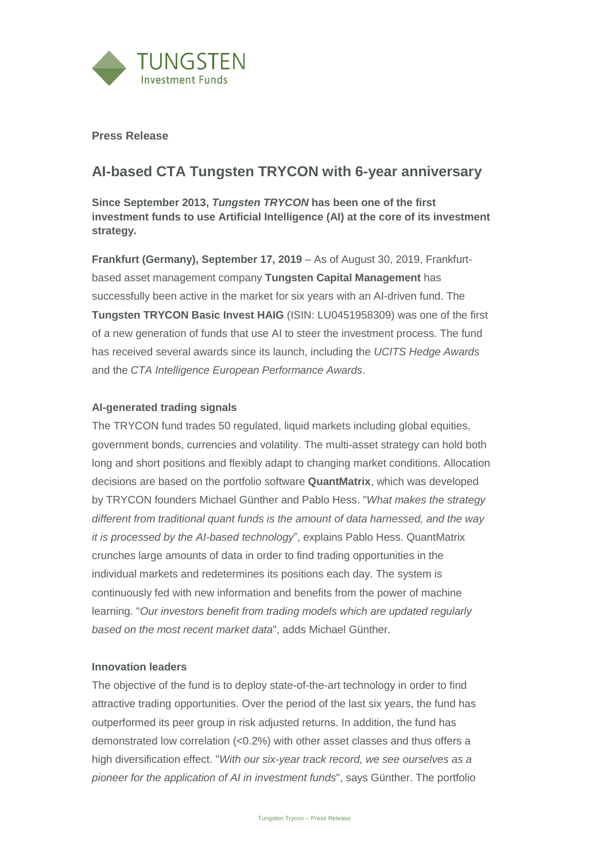

**Press Release**

## **AI-based CTA Tungsten TRYCON with 6-year anniversary**

**Since September 2013,** *Tungsten TRYCON* **has been one of the first investment funds to use Artificial Intelligence (AI) at the core of its investment strategy.**

**Frankfurt (Germany), September 17, 2019** – As of August 30, 2019, Frankfurtbased asset management company **Tungsten Capital Management** has successfully been active in the market for six years with an AI-driven fund. The **Tungsten TRYCON Basic Invest HAIG** (ISIN: LU0451958309) was one of the first of a new generation of funds that use AI to steer the investment process. The fund has received several awards since its launch, including the *UCITS Hedge Awards* and the *CTA Intelligence European Performance Awards*.

## **AI-generated trading signals**

The TRYCON fund trades 50 regulated, liquid markets including global equities, government bonds, currencies and volatility. The multi-asset strategy can hold both long and short positions and flexibly adapt to changing market conditions. Allocation decisions are based on the portfolio software **QuantMatrix**, which was developed by TRYCON founders Michael Günther and Pablo Hess. "*What makes the strategy different from traditional quant funds is the amount of data harnessed, and the way it is processed by the AI-based technology*", explains Pablo Hess. QuantMatrix crunches large amounts of data in order to find trading opportunities in the individual markets and redetermines its positions each day. The system is continuously fed with new information and benefits from the power of machine learning. "*Our investors benefit from trading models which are updated regularly based on the most recent market data*", adds Michael Günther.

## **Innovation leaders**

The objective of the fund is to deploy state-of-the-art technology in order to find attractive trading opportunities. Over the period of the last six years, the fund has outperformed its peer group in risk adjusted returns. In addition, the fund has demonstrated low correlation (<0.2%) with other asset classes and thus offers a high diversification effect. "*With our six-year track record, we see ourselves as a pioneer for the application of AI in investment funds*", says Günther. The portfolio